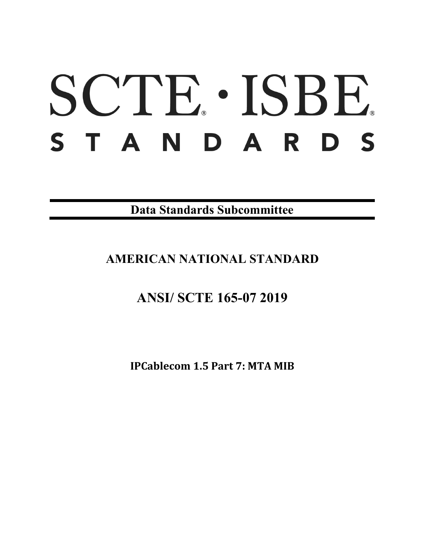# SCTE · ISBE. STANDARDS

**Data Standards Subcommittee**

## **AMERICAN NATIONAL STANDARD**

# **ANSI/ SCTE 165-07 2019**

**IPCablecom 1.5 Part 7: MTA MIB**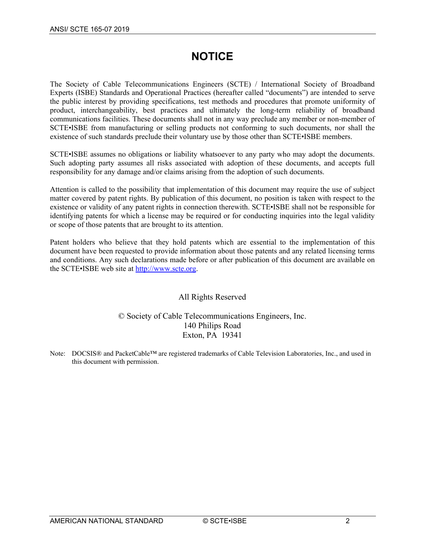## **NOTICE**

The Society of Cable Telecommunications Engineers (SCTE) / International Society of Broadband Experts (ISBE) Standards and Operational Practices (hereafter called "documents") are intended to serve the public interest by providing specifications, test methods and procedures that promote uniformity of product, interchangeability, best practices and ultimately the long-term reliability of broadband communications facilities. These documents shall not in any way preclude any member or non-member of SCTE•ISBE from manufacturing or selling products not conforming to such documents, nor shall the existence of such standards preclude their voluntary use by those other than SCTE•ISBE members.

SCTE•ISBE assumes no obligations or liability whatsoever to any party who may adopt the documents. Such adopting party assumes all risks associated with adoption of these documents, and accepts full responsibility for any damage and/or claims arising from the adoption of such documents.

Attention is called to the possibility that implementation of this document may require the use of subject matter covered by patent rights. By publication of this document, no position is taken with respect to the existence or validity of any patent rights in connection therewith. SCTE•ISBE shall not be responsible for identifying patents for which a license may be required or for conducting inquiries into the legal validity or scope of those patents that are brought to its attention.

Patent holders who believe that they hold patents which are essential to the implementation of this document have been requested to provide information about those patents and any related licensing terms and conditions. Any such declarations made before or after publication of this document are available on the SCTE•ISBE web site at [http://www.scte.org.](http://www.scte.org/)

#### All Rights Reserved

#### © Society of Cable Telecommunications Engineers, Inc. 140 Philips Road Exton, PA 19341

Note: DOCSIS® and PacketCable™ are registered trademarks of Cable Television Laboratories, Inc., and used in this document with permission.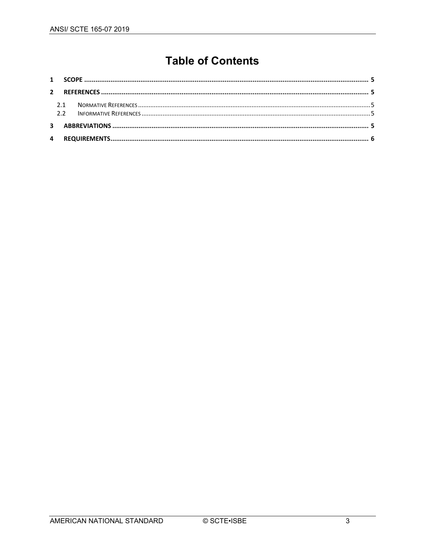## **Table of Contents**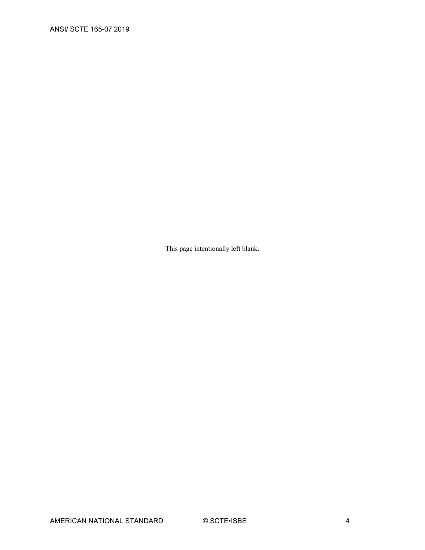This page intentionally left blank.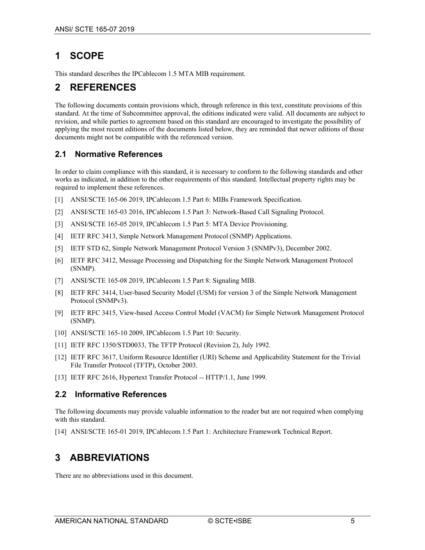## **1 SCOPE**

This standard describes the IPCablecom 1.5 MTA MIB requirement.

### **2 REFERENCES**

The following documents contain provisions which, through reference in this text, constitute provisions of this standard. At the time of Subcommittee approval, the editions indicated were valid. All documents are subject to revision, and while parties to agreement based on this standard are encouraged to investigate the possibility of applying the most recent editions of the documents listed below, they are reminded that newer editions of those documents might not be compatible with the referenced version.

#### **2.1 Normative References**

In order to claim compliance with this standard, it is necessary to conform to the following standards and other works as indicated, in addition to the other requirements of this standard. Intellectual property rights may be required to implement these references.

- [1] ANSI/SCTE 165-06 2019, IPCablecom 1.5 Part 6: MIBs Framework Specification.
- [2] ANSI/SCTE 165-03 2016, IPCablecom 1.5 Part 3: Network-Based Call Signaling Protocol.
- [3] ANSI/SCTE 165-05 2019, IPCablecom 1.5 Part 5: MTA Device Provisioning.
- [4] IETF RFC 3413, Simple Network Management Protocol (SNMP) Applications.
- [5] IETF STD 62, Simple Network Management Protocol Version 3 (SNMPv3), December 2002.
- [6] IETF RFC 3412, Message Processing and Dispatching for the Simple Network Management Protocol (SNMP).
- [7] ANSI/SCTE 165-08 2019, IPCablecom 1.5 Part 8: Signaling MIB.
- [8] IETF RFC 3414, User-based Security Model (USM) for version 3 of the Simple Network Management Protocol (SNMPv3).
- [9] IETF RFC 3415, View-based Access Control Model (VACM) for Simple Network Management Protocol (SNMP).
- [10] ANSI/SCTE 165-10 2009, IPCablecom 1.5 Part 10: Security.
- [11] IETF RFC 1350/STD0033, The TFTP Protocol (Revision 2), July 1992.
- [12] IETF RFC 3617, Uniform Resource Identifier (URI) Scheme and Applicability Statement for the Trivial File Transfer Protocol (TFTP), October 2003.
- [13] IETF RFC 2616, Hypertext Transfer Protocol -- HTTP/1.1, June 1999.

#### **2.2 Informative References**

The following documents may provide valuable information to the reader but are not required when complying with this standard.

[14] ANSI/SCTE 165-01 2019, IPCablecom 1.5 Part 1: Architecture Framework Technical Report.

#### **3 ABBREVIATIONS**

There are no abbreviations used in this document.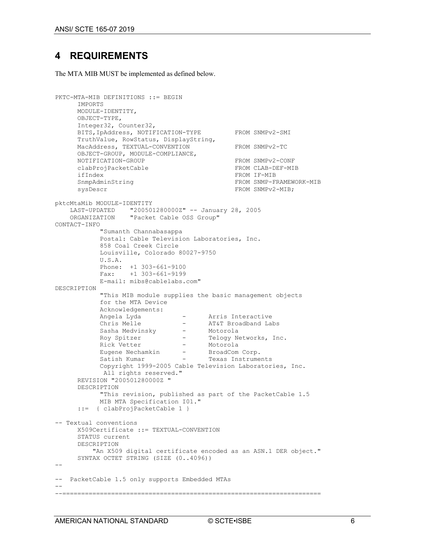#### **4 REQUIREMENTS**

The MTA MIB MUST be implemented as defined below.

```
PKTC-MTA-MIB DEFINITIONS ::= BEGIN
       IMPORTS
      MODULE-IDENTITY,
       OBJECT-TYPE,
       Integer32, Counter32,
      BITS, IpAddress, NOTIFICATION-TYPE FROM SNMPv2-SMI
       TruthValue, RowStatus, DisplayString, 
      MacAddress, TEXTUAL-CONVENTION FROM SNMPv2-TC
       OBJECT-GROUP, MODULE-COMPLIANCE,
      NOTIFICATION-GROUP<br>
clabProjPacketCable<br>
FROM CLAB-DEF-MIB
      clabProjPacketCable<br>ifIndex
       ifIndex FROM IF-MIB
      SnmpAdminString FROM SNMP-FRAMEWORK-MIB<br>sysDescr<br>FROM SNMPv2-MIB;
                                                FROM SNMPv2-MIB;
pktcMtaMib MODULE-IDENTITY
    LAST-UPDATED "200501280000Z" -- January 28, 2005
    ORGANIZATION "Packet Cable OSS Group"
CONTACT-INFO
             "Sumanth Channabasappa
             Postal: Cable Television Laboratories, Inc.
             858 Coal Creek Circle
             Louisville, Colorado 80027-9750
             U.S.A.
            Phone: +1 303-661-9100<br>Fax: +1 303-661-9199
                    Fax: +1 303-661-9199
             E-mail: mibs@cablelabs.com"
DESCRIPTION
             "This MIB module supplies the basic management objects 
             for the MTA Device
            Acknowledgements:<br>Angela Lyda
             Angela Lyda - Arris Interactive
                                 - AT&T Broadband Labs<br>- Motorola
            Sasha Medvinsky -<br>Roy Spitzer -
            Roy Spitzer - Telogy Networks, Inc.<br>Rick Vetter - Motorola
 Rick Vetter - Motorola
 Eugene Nechamkin - BroadCom Corp.
            Satish Kumar - Texas Instruments
             Copyright 1999-2005 Cable Television Laboratories, Inc.
             All rights reserved."
       REVISION "200501280000Z "
       DESCRIPTION
             "This revision, published as part of the PacketCable 1.5 
             MIB MTA Specification I01."
       ::= { clabProjPacketCable 1 }
-- Textual conventions
       X509Certificate ::= TEXTUAL-CONVENTION
       STATUS current
       DESCRIPTION
           "An X509 digital certificate encoded as an ASN.1 DER object."
       SYNTAX OCTET STRING (SIZE (0..4096))
--- PacketCable 1.5 only supports Embedded MTAs
----=====================================================================
```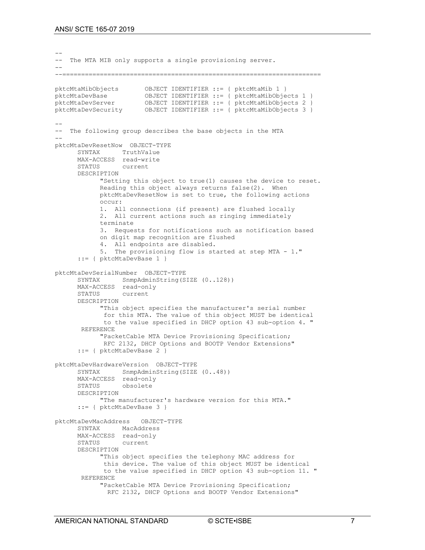```
--
-- The MTA MIB only supports a single provisioning server.
---=====================================================================
pktcMtaMibObjects OBJECT IDENTIFIER ::= { pktcMtaMib 1 }
pktcMtaDevBase OBJECT IDENTIFIER ::= { pktcMtaMibObjects 1 }
pktcMtaDevServer OBJECT IDENTIFIER ::= { pktcMtaMibObjects 2 }
                      OBJECT IDENTIFIER ::= { pktcMtaMibObjects 3 }
--
-- The following group describes the base objects in the MTA 
--
pktcMtaDevResetNow OBJECT-TYPE
       SYNTAX TruthValue
      MAX-ACCESS read-write<br>STATUS current
                current
       DESCRIPTION
             "Setting this object to true(1) causes the device to reset.
             Reading this object always returns false(2). When 
             pktcMtaDevResetNow is set to true, the following actions
             occur:
             1. All connections (if present) are flushed locally
             2. All current actions such as ringing immediately 
             terminate
             3. Requests for notifications such as notification based 
             on digit map recognition are flushed
             4. All endpoints are disabled.
             5. The provisioning flow is started at step MTA - 1."
       ::= { pktcMtaDevBase 1 }
pktcMtaDevSerialNumber OBJECT-TYPE
      SYNTAX SnmpAdminString(SIZE (0..128))
      MAX-ACCESS read-only<br>STATUS current
                 current
       DESCRIPTION
             "This object specifies the manufacturer's serial number
              for this MTA. The value of this object MUST be identical
              to the value specified in DHCP option 43 sub-option 4. "
        REFERENCE
             "PacketCable MTA Device Provisioning Specification;
              RFC 2132, DHCP Options and BOOTP Vendor Extensions"
       ::= { pktcMtaDevBase 2 }
pktcMtaDevHardwareVersion OBJECT-TYPE
      SYNTAX SnmpAdminString(SIZE (0..48))
       MAX-ACCESS read-only
       STATUS obsolete
       DESCRIPTION
             "The manufacturer's hardware version for this MTA."
       ::= { pktcMtaDevBase 3 }
pktcMtaDevMacAddress OBJECT-TYPE
       SYNTAX MacAddress
      MAX-ACCESS read-only<br>STATUS current
               current.
       DESCRIPTION
             "This object specifies the telephony MAC address for
             this device. The value of this object MUST be identical
              to the value specified in DHCP option 43 sub-option 11. "
        REFERENCE
             "PacketCable MTA Device Provisioning Specification;
               RFC 2132, DHCP Options and BOOTP Vendor Extensions"
```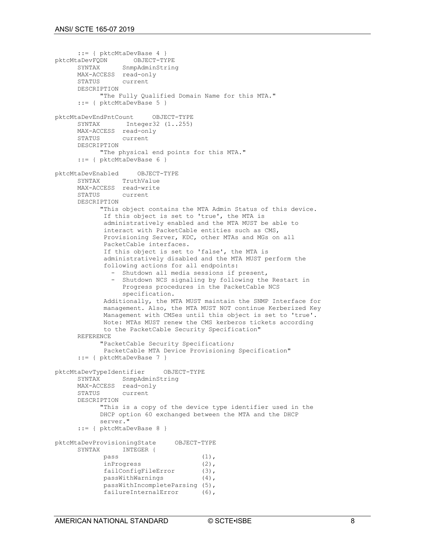```
 ::= { pktcMtaDevBase 4 }
pktcMtaDevFQDN<br>SYNTAX
                   SnmpAdminString
      MAX-ACCESS read-only<br>STATUS current
                  current
       DESCRIPTION
             "The Fully Qualified Domain Name for this MTA."
       ::= { pktcMtaDevBase 5 } 
pktcMtaDevEndPntCount OBJECT-TYPE
      SYNTAX Integer32 (1..255)
      MAX-ACCESS read-only<br>STATUS current
                  current
       DESCRIPTION
              "The physical end points for this MTA."
       ::= { pktcMtaDevBase 6 }
pktcMtaDevEnabled OBJECT-TYPE
       SYNTAX TruthValue
      MAX-ACCESS read-write<br>STATUS current
                 current
       DESCRIPTION
              "This object contains the MTA Admin Status of this device.
              If this object is set to 'true', the MTA is 
              administratively enabled and the MTA MUST be able to 
              interact with PacketCable entities such as CMS,
              Provisioning Server, KDC, other MTAs and MGs on all 
              PacketCable interfaces. 
              If this object is set to 'false', the MTA is 
              administratively disabled and the MTA MUST perform the 
              following actions for all endpoints:
                 - Shutdown all media sessions if present,
                   - Shutdown NCS signaling by following the Restart in 
                    Progress procedures in the PacketCable NCS 
                    specification.
              Additionally, the MTA MUST maintain the SNMP Interface for
              management. Also, the MTA MUST NOT continue Kerberized Key 
              Management with CMSes until this object is set to 'true'. 
              Note: MTAs MUST renew the CMS kerberos tickets according 
              to the PacketCable Security Specification"
       REFERENCE
              "PacketCable Security Specification;
              PacketCable MTA Device Provisioning Specification"
       ::= { pktcMtaDevBase 7 }
pktcMtaDevTypeIdentifier OBJECT-TYPE
               SnmpAdminString
      MAX-ACCESS read-only<br>STATUS current
                 current
       DESCRIPTION
              "This is a copy of the device type identifier used in the 
             DHCP option 60 exchanged between the MTA and the DHCP 
              server."
       ::= { pktcMtaDevBase 8 }
pktcMtaDevProvisioningState OBJECT-TYPE
             INTEGER {
pass (1),
             inProgress (2),<br>failConfigFileError (3),
             failConfigFileError (3),<br>passWithWarnings (4),
              passWithWarnings (4),
              passWithIncompleteParsing (5),
             failureInternalError (6),
```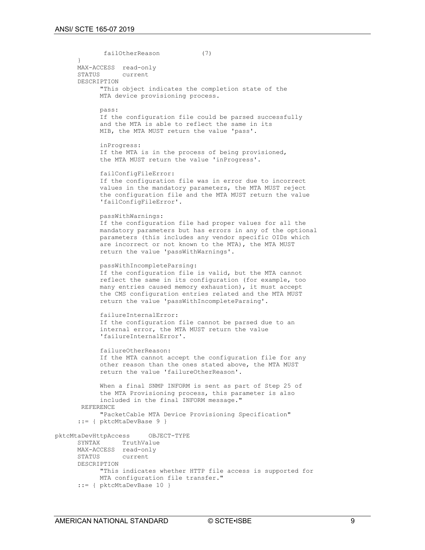```
 failOtherReason (7)
 }
       MAX-ACCESS read-only
       STATUS current
       DESCRIPTION
             "This object indicates the completion state of the
             MTA device provisioning process. 
             pass:
             If the configuration file could be parsed successfully 
             and the MTA is able to reflect the same in its
             MIB, the MTA MUST return the value 'pass'.
             inProgress:
             If the MTA is in the process of being provisioned, 
             the MTA MUST return the value 'inProgress'.
             failConfigFileError:
             If the configuration file was in error due to incorrect
             values in the mandatory parameters, the MTA MUST reject
             the configuration file and the MTA MUST return the value
             'failConfigFileError'.
             passWithWarnings:
             If the configuration file had proper values for all the 
             mandatory parameters but has errors in any of the optional
             parameters (this includes any vendor specific OIDs which 
             are incorrect or not known to the MTA), the MTA MUST 
             return the value 'passWithWarnings'.
             passWithIncompleteParsing:
             If the configuration file is valid, but the MTA cannot 
             reflect the same in its configuration (for example, too 
             many entries caused memory exhaustion), it must accept 
             the CMS configuration entries related and the MTA MUST
             return the value 'passWithIncompleteParsing'.
             failureInternalError:
             If the configuration file cannot be parsed due to an 
             internal error, the MTA MUST return the value 
             'failureInternalError'.
             failureOtherReason:
             If the MTA cannot accept the configuration file for any 
             other reason than the ones stated above, the MTA MUST 
             return the value 'failureOtherReason'.
             When a final SNMP INFORM is sent as part of Step 25 of 
             the MTA Provisioning process, this parameter is also 
             included in the final INFORM message."
        REFERENCE
             "PacketCable MTA Device Provisioning Specification"
       ::= { pktcMtaDevBase 9 }
pktcMtaDevHttpAccess OBJECT-TYPE
                TruthValue
      MAX-ACCESS read-only<br>STATUS current
               current.
       DESCRIPTION
             "This indicates whether HTTP file access is supported for 
             MTA configuration file transfer."
       ::= { pktcMtaDevBase 10 }
```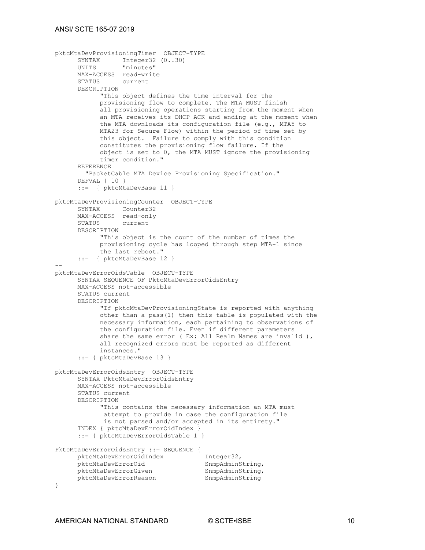```
pktcMtaDevProvisioningTimer OBJECT-TYPE
      SYNTAX Integer32 (0..30)<br>
INITS "minutes"
                   "minutes"
      MAX-ACCESS read-write<br>STATUS current
                   current
       DESCRIPTION
              "This object defines the time interval for the 
              provisioning flow to complete. The MTA MUST finish
              all provisioning operations starting from the moment when
              an MTA receives its DHCP ACK and ending at the moment when
              the MTA downloads its configuration file (e.g., MTA5 to
              MTA23 for Secure Flow) within the period of time set by
              this object. Failure to comply with this condition 
              constitutes the provisioning flow failure. If the
              object is set to 0, the MTA MUST ignore the provisioning
              timer condition."
       REFERENCE
         "PacketCable MTA Device Provisioning Specification." 
       DEFVAL { 10 }
       ::= { pktcMtaDevBase 11 }
pktcMtaDevProvisioningCounter OBJECT-TYPE 
                  Counter32
      MAX-ACCESS read-only<br>STATUS current
                   current
       DESCRIPTION
              "This object is the count of the number of times the 
              provisioning cycle has looped through step MTA-1 since 
              the last reboot."
       ::= { pktcMtaDevBase 12 }
--
pktcMtaDevErrorOidsTable OBJECT-TYPE
       SYNTAX SEQUENCE OF PktcMtaDevErrorOidsEntry
       MAX-ACCESS not-accessible
       STATUS current
       DESCRIPTION
              "If pktcMtaDevProvisioningState is reported with anything 
              other than a pass(1) then this table is populated with the
              necessary information, each pertaining to observations of 
              the configuration file. Even if different parameters 
             share the same error ( Ex: All Realm Names are invalid ),
              all recognized errors must be reported as different 
              instances."
       ::= { pktcMtaDevBase 13 }
pktcMtaDevErrorOidsEntry OBJECT-TYPE
       SYNTAX PktcMtaDevErrorOidsEntry
       MAX-ACCESS not-accessible
       STATUS current
       DESCRIPTION 
              "This contains the necessary information an MTA must 
               attempt to provide in case the configuration file 
               is not parsed and/or accepted in its entirety."
       INDEX { pktcMtaDevErrorOidIndex }
       ::= { pktcMtaDevErrorOidsTable 1 }
PktcMtaDevErrorOidsEntry ::= SEQUENCE {
      pktcMtaDevErrorOidIndex Integer32,<br>pktcMtaDevErrorOid SnmpAdminString,
      pktcMtaDevErrorOid SnmpAdminString,<br>pktcMtaDevErrorGiven SnmpAdminString,
      pktcMtaDevErrorGiven SnmpAdminString<br>
pktcMtaDevErrorReason SnmpAdminString
      pktcMtaDevErrorReason
}
```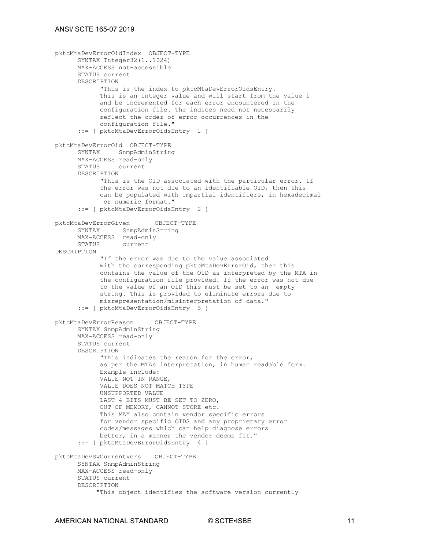```
pktcMtaDevErrorOidIndex OBJECT-TYPE
       SYNTAX Integer32(1..1024)
       MAX-ACCESS not-accessible
       STATUS current
       DESCRIPTION 
             "This is the index to pktcMtaDevErrorOidsEntry. 
             This is an integer value and will start from the value 1 
             and be incremented for each error encountered in the 
             configuration file. The indices need not necessarily 
             reflect the order of error occurrences in the 
             configuration file."
       ::= { pktcMtaDevErrorOidsEntry 1 }
pktcMtaDevErrorOid OBJECT-TYPE
                SnmpAdminString
      MAX-ACCESS read-only<br>STATUS current
                 current
       DESCRIPTION 
             "This is the OID associated with the particular error. If 
             the error was not due to an identifiable OID, then this 
             can be populated with impartial identifiers, in hexadecimal
              or numeric format."
       ::= { pktcMtaDevErrorOidsEntry 2 }
pktcMtaDevErrorGiven OBJECT-TYPE
       SYNTAX SnmpAdminString
      MAX-ACCESS read-only<br>STATUS current
      STATUS
DESCRIPTION 
             "If the error was due to the value associated
             with the corresponding pktcMtaDevErrorOid, then this 
             contains the value of the OID as interpreted by the MTA in 
             the configuration file provided. If the error was not due 
             to the value of an OID this must be set to an empty 
             string. This is provided to eliminate errors due to 
             misrepresentation/misinterpretation of data."
       ::= { pktcMtaDevErrorOidsEntry 3 }
pktcMtaDevErrorReason OBJECT-TYPE
       SYNTAX SnmpAdminString
       MAX-ACCESS read-only
       STATUS current
       DESCRIPTION 
             "This indicates the reason for the error, 
             as per the MTAs interpretation, in human readable form. 
             Example include:
             VALUE NOT IN RANGE, 
             VALUE DOES NOT MATCH TYPE
             UNSUPPORTED VALUE
             LAST 4 BITS MUST BE SET TO ZERO, 
             OUT OF MEMORY, CANNOT STORE etc.
             This MAY also contain vendor specific errors
             for vendor specific OIDS and any proprietary error
             codes/messages which can help diagnose errors
             better, in a manner the vendor deems fit." 
       ::= { pktcMtaDevErrorOidsEntry 4 }
pktcMtaDevSwCurrentVers OBJECT-TYPE
       SYNTAX SnmpAdminString
       MAX-ACCESS read-only
       STATUS current
       DESCRIPTION
            "This object identifies the software version currently
```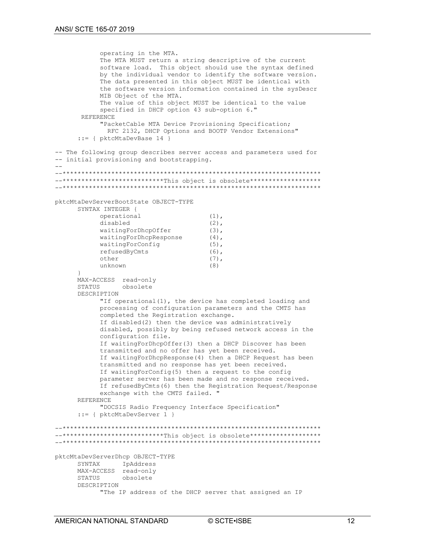```
 operating in the MTA. 
             The MTA MUST return a string descriptive of the current 
             software load. This object should use the syntax defined 
             by the individual vendor to identify the software version.
             The data presented in this object MUST be identical with 
             the software version information contained in the sysDescr 
             MIB Object of the MTA.
             The value of this object MUST be identical to the value
             specified in DHCP option 43 sub-option 6."
        REFERENCE
             "PacketCable MTA Device Provisioning Specification;
               RFC 2132, DHCP Options and BOOTP Vendor Extensions"
       ::= { pktcMtaDevBase 14 }
-- The following group describes server access and parameters used for
-- initial provisioning and bootstrapping.
---*********************************************************************
--***************************This object is obsolete*******************
--*********************************************************************
pktcMtaDevServerBootState OBJECT-TYPE
       SYNTAX INTEGER {
            operational (1),<br>disabled (2),
            disabled
            waitingForDhcpOffer (3),<br>waitingForDhcpResponse (4),
            waitingForDhcpResponse (4),<br>waitingForConfig (5),
            waitingForConfig (5),<br>refusedByCmts (6),
            refusedByCmts (6),<br>other (7),
other (7),
             unknown (8)
 }
      MAX-ACCESS read-only<br>STATUS obsolete
                 obsolete
       DESCRIPTION
             "If operational(1), the device has completed loading and
             processing of configuration parameters and the CMTS has
             completed the Registration exchange.
             If disabled(2) then the device was administratively
             disabled, possibly by being refused network access in the
             configuration file.
             If waitingForDhcpOffer(3) then a DHCP Discover has been
             transmitted and no offer has yet been received.
             If waitingForDhcpResponse(4) then a DHCP Request has been
             transmitted and no response has yet been received.
             If waitingForConfig(5) then a request to the config 
             parameter server has been made and no response received.
             If refusedByCmts(6) then the Registration Request/Response
            exchange with the CMTS failed.
       REFERENCE
             "DOCSIS Radio Frequency Interface Specification"
       ::= { pktcMtaDevServer 1 }
--*********************************************************************
--***************************This object is obsolete*******************
--*********************************************************************
pktcMtaDevServerDhcp OBJECT-TYPE
                IpAddress
      MAX-ACCESS read-only<br>STATUS obsolete
                 obsolete
       DESCRIPTION
             "The IP address of the DHCP server that assigned an IP
```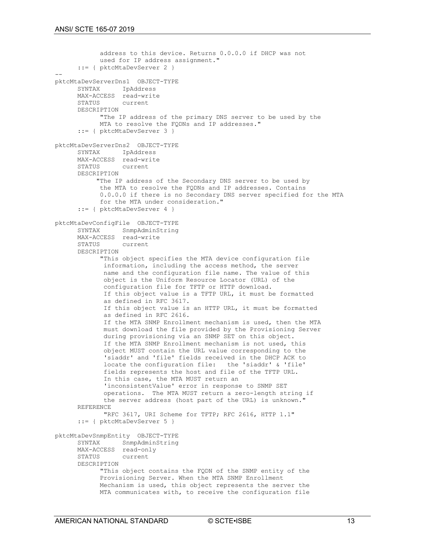```
 address to this device. Returns 0.0.0.0 if DHCP was not
              used for IP address assignment."
       ::= { pktcMtaDevServer 2 }
--
pktcMtaDevServerDns1 OBJECT-TYPE
       SYNTAX IpAddress
      MAX-ACCESS read-write<br>STATUS current
                   current
       DESCRIPTION
              "The IP address of the primary DNS server to be used by the
              MTA to resolve the FQDNs and IP addresses."
       ::= { pktcMtaDevServer 3 }
pktcMtaDevServerDns2 OBJECT-TYPE
                 IpAddress
      MAX-ACCESS read-write<br>STATUS current
                  current
       DESCRIPTION
             "The IP address of the Secondary DNS server to be used by 
              the MTA to resolve the FQDNs and IP addresses. Contains 
              0.0.0.0 if there is no Secondary DNS server specified for the MTA 
              for the MTA under consideration."
       ::= { pktcMtaDevServer 4 }
pktcMtaDevConfigFile OBJECT-TYPE
       SYNTAX SnmpAdminString
      MAX-ACCESS read-write<br>STATUS current
                   current
       DESCRIPTION
              "This object specifies the MTA device configuration file 
               information, including the access method, the server 
               name and the configuration file name. The value of this 
               object is the Uniform Resource Locator (URL) of the 
               configuration file for TFTP or HTTP download.
               If this object value is a TFTP URL, it must be formatted 
               as defined in RFC 3617.
               If this object value is an HTTP URL, it must be formatted 
               as defined in RFC 2616.
               If the MTA SNMP Enrollment mechanism is used, then the MTA
               must download the file provided by the Provisioning Server
               during provisioning via an SNMP SET on this object. 
               If the MTA SNMP Enrollment mechanism is not used, this 
               object MUST contain the URL value corresponding to the 
              'siaddr' and 'file' fields received in the DHCP ACK to<br>locate the configuration file: the 'siaddr' & 'file'
              locate the configuration file:
               fields represents the host and file of the TFTP URL. 
               In this case, the MTA MUST return an 
               'inconsistentValue' error in response to SNMP SET 
               operations. The MTA MUST return a zero-length string if 
               the server address (host part of the URL) is unknown."
       REFERENCE
               "RFC 3617, URI Scheme for TFTP; RFC 2616, HTTP 1.1"
       ::= { pktcMtaDevServer 5 }
pktcMtaDevSnmpEntity OBJECT-TYPE
                 SnmpAdminString
      MAX-ACCESS read-only<br>STATUS current
                  current.
       DESCRIPTION
              "This object contains the FQDN of the SNMP entity of the 
              Provisioning Server. When the MTA SNMP Enrollment 
              Mechanism is used, this object represents the server the
              MTA communicates with, to receive the configuration file
```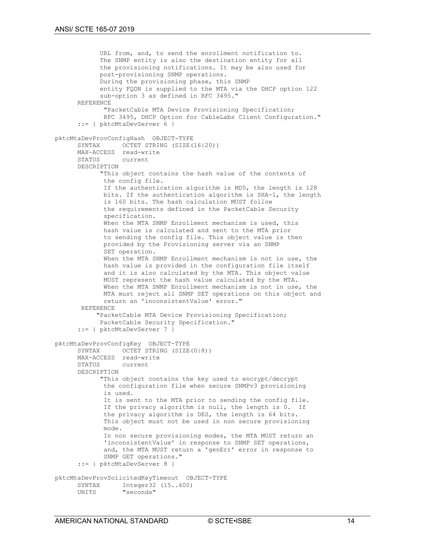```
 URL from, and, to send the enrollment notification to.
             The SNMP entity is also the destination entity for all
             the provisioning notifications. It may be also used for 
             post-provisioning SNMP operations. 
             During the provisioning phase, this SNMP 
             entity FQDN is supplied to the MTA via the DHCP option 122 
             sub-option 3 as defined in RFC 3495." 
       REFERENCE 
              "PacketCable MTA Device Provisioning Specification;
              RFC 3495, DHCP Option for CableLabs Client Configuration." 
       ::= { pktcMtaDevServer 6 }
pktcMtaDevProvConfigHash OBJECT-TYPE
                 OCTET STRING (SIZE(16|20))
      MAX-ACCESS read-write<br>STATUS current
                  current
       DESCRIPTION
             "This object contains the hash value of the contents of 
              the config file.
              If the authentication algorithm is MD5, the length is 128 
              bits. If the authentication algorithm is SHA-1, the length 
              is 160 bits. The hash calculation MUST follow 
              the requirements defined in the PacketCable Security
              specification.
              When the MTA SNMP Enrollment mechanism is used, this
              hash value is calculated and sent to the MTA prior 
              to sending the config file. This object value is then
              provided by the Provisioning server via an SNMP
              SET operation.
              When the MTA SNMP Enrollment mechanism is not in use, the
              hash value is provided in the configuration file itself 
              and it is also calculated by the MTA. This object value
              MUST represent the hash value calculated by the MTA.
             When the MTA SNMP Enrollment mechanism is not in use, the
              MTA must reject all SNMP SET operations on this object and
              return an 'inconsistentValue' error."
        REFERENCE
            "PacketCable MTA Device Provisioning Specification;
             PacketCable Security Specification."
       ::= { pktcMtaDevServer 7 }
pktcMtaDevProvConfigKey OBJECT-TYPE
                OCTET STRING (SIZE(0|8))
      MAX-ACCESS read-write<br>STATUS current
                  current
       DESCRIPTION
             "This object contains the key used to encrypt/decrypt
              the configuration file when secure SNMPv3 provisioning
              is used.
              It is sent to the MTA prior to sending the config file.
              If the privacy algorithm is null, the length is 0. If 
              the privacy algorithm is DES, the length is 64 bits.
              This object must not be used in non secure provisioning 
              mode.
              In non secure provisioning modes, the MTA MUST return an 
              'inconsistentValue' in response to SNMP SET operations,
              and, the MTA MUST return a 'genErr' error in response to 
              SNMP GET operations."
       ::= { pktcMtaDevServer 8 }
pktcMtaDevProvSolicitedKeyTimeout OBJECT-TYPE
      SYNTAX Integer32 (15..600)<br>UNITS "seconds"
                   "seconds"
```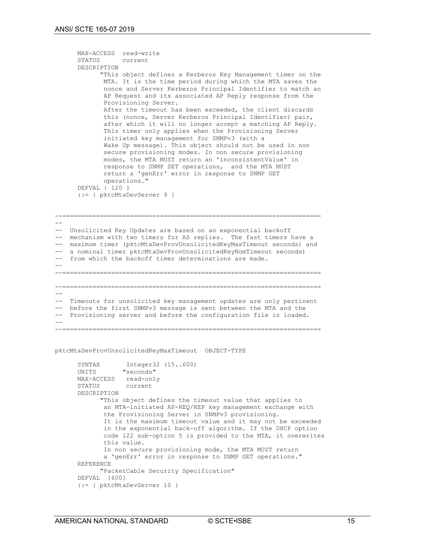--

--

```
MAX-ACCESS read-write<br>STATUS current
                 current
       DESCRIPTION
             "This object defines a Kerberos Key Management timer on the
              MTA. It is the time period during which the MTA saves the 
              nonce and Server Kerberos Principal Identifier to match an 
              AP Request and its associated AP Reply response from the 
              Provisioning Server. 
             After the timeout has been exceeded, the client discards
              this (nonce, Server Kerberos Principal Identifier) pair, 
              after which it will no longer accept a matching AP Reply. 
              This timer only applies when the Provisioning Server 
              initiated key management for SNMPv3 (with a 
              Wake Up message). This object should not be used in non 
              secure provisioning modes. In non secure provisioning 
              modes, the MTA MUST return an 'inconsistentValue' in 
              response to SNMP SET operations, and the MTA MUST 
              return a 'genErr' error in response to SNMP GET 
              operations." 
       DEFVAL { 120 }
       ::= { pktcMtaDevServer 9 }
--=====================================================================
- --- Unsolicited Key Updates are based on an exponential backoff 
-- mechanism with two timers for AS replies. The fast timers have a 
-- maximum timer (pktcMtaDevProvUnsolicitedKeyMaxTimeout seconds) and 
-- a nominal timer pktcMtaDevProvUnsolicitedKeyNomTimeout seconds) 
-- from which the backoff timer determinations are made. 
- ---=====================================================================
--=====================================================================
-- Timeouts for unsolicited key management updates are only pertinent 
-- before the first SNMPv3 message is sent between the MTA and the 
-- Provisioning server and before the configuration file is loaded.
--=====================================================================
pktcMtaDevProvUnsolicitedKeyMaxTimeout OBJECT-TYPE
      SYNTAX Integer32 (15..600)
      UNITS "seconds"
       MAX-ACCESS read-only 
       STATUS current 
       DESCRIPTION 
             "This object defines the timeout value that applies to
              an MTA-initiated AP-REQ/REP key management exchange with
              the Provisioning Server in SNMPv3 provisioning.
              It is the maximum timeout value and it may not be exceeded
              in the exponential back-off algorithm. If the DHCP option 
              code 122 sub-option 5 is provided to the MTA, it overwrites
              this value.
              In non secure provisioning mode, the MTA MUST return 
             a 'genErr' error in response to SNMP GET operations."
       REFERENCE
```

```
 "PacketCable Security Specification" 
DEFVAL {600}
 ::= { pktcMtaDevServer 10 }
```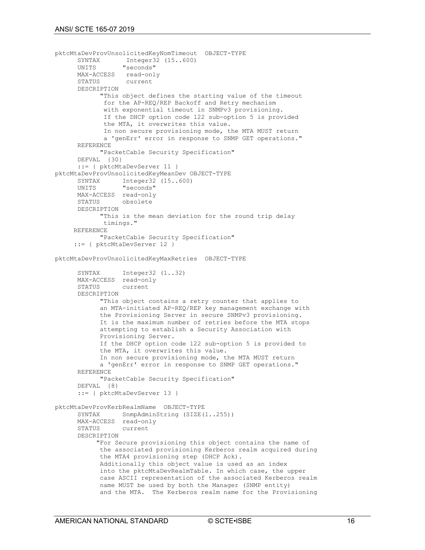```
pktcMtaDevProvUnsolicitedKeyNomTimeout OBJECT-TYPE
      SYNTAX Integer32 (15..600)<br>
INITS "seconds"
                   "seconds"
      MAX-ACCESS read-only<br>STATUS current
                    current
       DESCRIPTION
              "This object defines the starting value of the timeout
               for the AP-REQ/REP Backoff and Retry mechanism 
               with exponential timeout in SNMPv3 provisioning.
               If the DHCP option code 122 sub-option 5 is provided
               the MTA, it overwrites this value.
               In non secure provisioning mode, the MTA MUST return 
               a 'genErr' error in response to SNMP GET operations."
       REFERENCE
              "PacketCable Security Specification"
      DEFVAL {30}
       ::= { pktcMtaDevServer 11 }
pktcMtaDevProvUnsolicitedKeyMeanDev OBJECT-TYPE
      SYNTAX Integer32 (15..600)<br>UNITS "seconds"
                   "seconds"
      MAX-ACCESS read-only<br>STATUS obsolete
                 obsolete
       DESCRIPTION
              "This is the mean deviation for the round trip delay 
               timings."
      REFERENCE 
              "PacketCable Security Specification" 
      ::= { pktcMtaDevServer 12 }
pktcMtaDevProvUnsolicitedKeyMaxRetries OBJECT-TYPE
      SYNTAX Integer32 (1..32)
      MAX-ACCESS read-only<br>STATUS current
                   current.
       DESCRIPTION
              "This object contains a retry counter that applies to 
              an MTA-initiated AP-REQ/REP key management exchange with 
              the Provisioning Server in secure SNMPv3 provisioning.
              It is the maximum number of retries before the MTA stops
              attempting to establish a Security Association with 
              Provisioning Server. 
             If the DHCP option code 122 sub-option 5 is provided to 
              the MTA, it overwrites this value.
              In non secure provisioning mode, the MTA MUST return 
             a 'genErr' error in response to SNMP GET operations."
       REFERENCE 
              "PacketCable Security Specification"
       DEFVAL {8}
       ::= { pktcMtaDevServer 13 }
pktcMtaDevProvKerbRealmName OBJECT-TYPE
                 SnmpAdminString (SIZE(1..255))
      MAX-ACCESS read-only<br>STATUS current
                   current
       DESCRIPTION 
             "For Secure provisioning this object contains the name of 
             the associated provisioning Kerberos realm acquired during
             the MTA4 provisioning step (DHCP Ack).
             Additionally this object value is used as an index
             into the pktcMtaDevRealmTable. In which case, the upper 
             case ASCII representation of the associated Kerberos realm
             name MUST be used by both the Manager (SNMP entity) 
              and the MTA. The Kerberos realm name for the Provisioning
```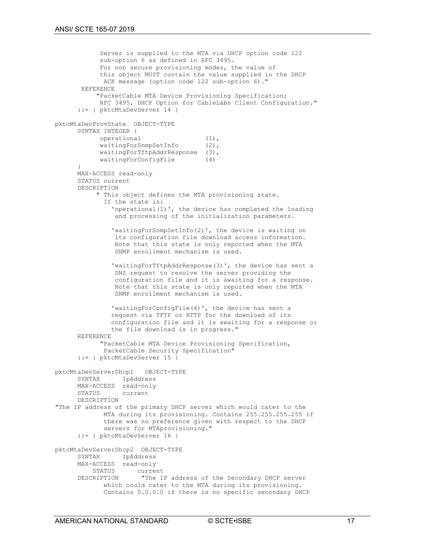```
 Server is supplied to the MTA via DHCP option code 122 
              sub-option 6 as defined in RFC 3495. 
              For non secure provisioning modes, the value of 
              this object MUST contain the value supplied in the DHCP 
               ACK message (option code 122 sub-option 6)." 
        REFERENCE
             "PacketCable MTA Device Provisioning Specification; 
              RFC 3495, DHCP Option for CableLabs Client Configuration."
       ::= { pktcMtaDevServer 14 }
pktcMtaDevProvState OBJECT-TYPE
       SYNTAX INTEGER {
            operational (1),<br>waitingForSnmpSetInfo (2),
             waitingForSnmpSetInfo (2),<br>waitingForTftpAddrResponse (3),
             waitingForTftpAddrResponse (3)<br>waitingForConfigFile (4)
              waitingForConfigFile (4)
       }
       MAX-ACCESS read-only
       STATUS current
       DESCRIPTION
             " This object defines the MTA provisioning state. 
               If the state is: 
                 'operational(1)', the device has completed the loading 
                  and processing of the initialization parameters. 
                 'waitingForSnmpSetInfo(2)', the device is waiting on 
                  its configuration file download access information.
                  Note that this state is only reported when the MTA
                  SNMP enrollment mechanism is used. 
                 'waitingForTftpAddrResponse(3)', the device has sent a 
                  DNS request to resolve the server providing the 
                  configuration file and it is awaiting for a response. 
                  Note that this state is only reported when the MTA
                  SNMP enrollment mechanism is used.
                 'waitingForConfigFile(4)', the device has sent a 
                 request via TFTP or HTTP for the download of its 
                 configuration file and it is awaiting for a response or 
                 the file download is in progress." 
       REFERENCE
              "PacketCable MTA Device Provisioning Specification,
               PacketCable Security Specification"
       ::= { pktcMtaDevServer 15 }
pktcMtaDevServerDhcp1 OBJECT-TYPE
              IpAddress
      MAX-ACCESS read-only<br>STATUS current
                  current
       DESCRIPTION
"The IP address of the primary DHCP server which would cater to the 
               MTA during its provisioning. Contains 255.255.255.255 if 
               there was no preference given with respect to the DHCP 
               servers for MTAprovisioning."
       ::= { pktcMtaDevServer 16 }
pktcMtaDevServerDhcp2 OBJECT-TYPE
                IpAddress
      MAX-ACCESS read-only<br>STATUS curres
      STATUS current<br>DESCRIPTION "The I
                        "The IP address of the Secondary DHCP server
               which could cater to the MTA during its provisioning. 
               Contains 0.0.0.0 if there is no specific secondary DHCP
```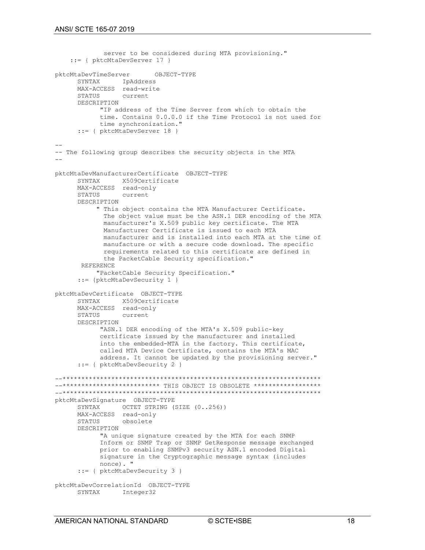```
 server to be considered during MTA provisioning."
     ::= { pktcMtaDevServer 17 }
pktcMtaDevTimeServer OBJECT-TYPE
       SYNTAX IpAddress
      MAX-ACCESS read-write<br>STATUS current
                  current
       DESCRIPTION
             "IP address of the Time Server from which to obtain the
             time. Contains 0.0.0.0 if the Time Protocol is not used for
             time synchronization."
       ::= { pktcMtaDevServer 18 }
--
-- The following group describes the security objects in the MTA 
--
pktcMtaDevManufacturerCertificate OBJECT-TYPE
       SYNTAX X509Certificate
      MAX-ACCESS read-only<br>STATUS current
                current
       DESCRIPTION
            " This object contains the MTA Manufacturer Certificate. 
              The object value must be the ASN.1 DER encoding of the MTA
              manufacturer's X.509 public key certificate. The MTA 
              Manufacturer Certificate is issued to each MTA 
              manufacturer and is installed into each MTA at the time of
              manufacture or with a secure code download. The specific 
              requirements related to this certificate are defined in 
              the PacketCable Security specification." 
        REFERENCE 
            "PacketCable Security Specification." 
       ::= {pktcMtaDevSecurity 1 }
pktcMtaDevCertificate OBJECT-TYPE
                 X509Certificate
      MAX-ACCESS read-only<br>STATUS current
                  current
       DESCRIPTION
             "ASN.1 DER encoding of the MTA's X.509 public-key 
             certificate issued by the manufacturer and installed 
             into the embedded-MTA in the factory. This certificate, 
             called MTA Device Certificate, contains the MTA's MAC 
             address. It cannot be updated by the provisioning server."
       ::= { pktcMtaDevSecurity 2 }
--*********************************************************************
--************************** THIS OBJECT IS OBSOLETE ******************
--*********************************************************************
pktcMtaDevSignature OBJECT-TYPE
              OCTET STRING (SIZE (0..256))
      MAX-ACCESS read-only<br>STATUS obsolete
                  obsolete
       DESCRIPTION
             "A unique signature created by the MTA for each SNMP 
             Inform or SNMP Trap or SNMP GetResponse message exchanged 
             prior to enabling SNMPv3 security ASN.1 encoded Digital 
             signature in the Cryptographic message syntax (includes
             nonce). "
       ::= { pktcMtaDevSecurity 3 }
pktcMtaDevCorrelationId OBJECT-TYPE
                 Integer32
```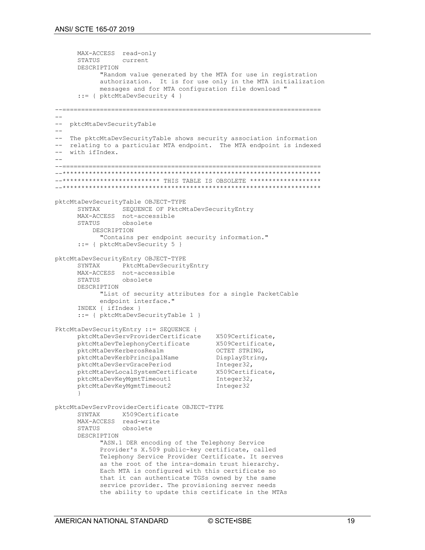```
MAX-ACCESS read-only<br>STATUS current
                  current
       DESCRIPTION
             "Random value generated by the MTA for use in registration
              authorization. It is for use only in the MTA initialization 
             messages and for MTA configuration file download "
       ::= { pktcMtaDevSecurity 4 }
--=====================================================================
- --- pktcMtaDevSecurityTable
--- The pktcMtaDevSecurityTable shows security association information 
-- relating to a particular MTA endpoint. The MTA endpoint is indexed
-- with ifIndex.
---=====================================================================
--*********************************************************************
--************************** THIS TABLE IS OBSOLETE *******************
--*********************************************************************
pktcMtaDevSecurityTable OBJECT-TYPE
               SEQUENCE OF PktcMtaDevSecurityEntry
      MAX-ACCESS not-accessible<br>STATUS obsolete
                  obsolete
           DESCRIPTION
              "Contains per endpoint security information."
       ::= { pktcMtaDevSecurity 5 }
pktcMtaDevSecurityEntry OBJECT-TYPE
       SYNTAX PktcMtaDevSecurityEntry
      MAX-ACCESS not-accessible<br>STATUS obsolete
                  obsolete
       DESCRIPTION
              "List of security attributes for a single PacketCable
             endpoint interface."
       INDEX { ifIndex }
       ::= { pktcMtaDevSecurityTable 1 }
PktcMtaDevSecurityEntry ::= SEQUENCE {
       pktcMtaDevServProviderCertificate X509Certificate,
      pktcMtaDevTelephonyCertificate X509Certificate<br>
pktcMtaDevKerberosRealm OCTET STRING.
       pktcMtaDevKerberosRealm OCTET STRING,
      pktcMtaDevKerbPrincipalName DisplayStr<br>pktcMtaDevServGracePeriod Integer32,
      pktcMtaDevServGracePeriod
      pktcMtaDevLocalSystemCertificate X509Certificate,<br>pktcMtaDevKeyMgmtTimeout1 Integer32,
      pktcMtaDevKeyMgmtTimeout1
       pktcMtaDevKeyMgmtTimeout2 Integer32
 }
pktcMtaDevServProviderCertificate OBJECT-TYPE
       SYNTAX X509Certificate
      MAX-ACCESS read-write<br>STATUS obsolete
                  obsolete
       DESCRIPTION
              "ASN.1 DER encoding of the Telephony Service 
             Provider's X.509 public-key certificate, called 
             Telephony Service Provider Certificate. It serves
             as the root of the intra-domain trust hierarchy. 
             Each MTA is configured with this certificate so 
             that it can authenticate TGSs owned by the same 
              service provider. The provisioning server needs
              the ability to update this certificate in the MTAs
```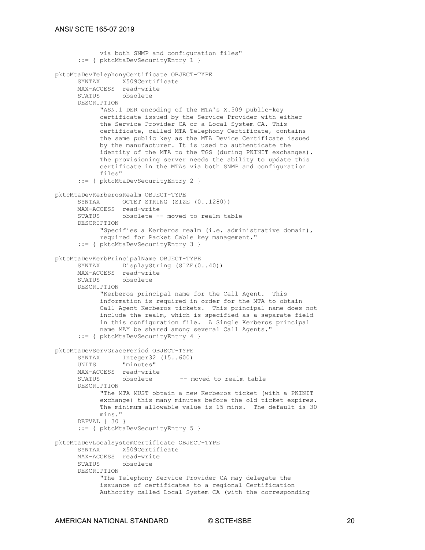```
 via both SNMP and configuration files"
       ::= { pktcMtaDevSecurityEntry 1 }
pktcMtaDevTelephonyCertificate OBJECT-TYPE
                  X509Certificate
      MAX-ACCESS read-write<br>STATUS obsolete
                   obsolete
       DESCRIPTION
              "ASN.1 DER encoding of the MTA's X.509 public-key 
              certificate issued by the Service Provider with either 
              the Service Provider CA or a Local System CA. This 
              certificate, called MTA Telephony Certificate, contains 
              the same public key as the MTA Device Certificate issued 
              by the manufacturer. It is used to authenticate the
              identity of the MTA to the TGS (during PKINIT exchanges). 
              The provisioning server needs the ability to update this 
              certificate in the MTAs via both SNMP and configuration 
              files"
       ::= { pktcMtaDevSecurityEntry 2 }
pktcMtaDevKerberosRealm OBJECT-TYPE
                   OCTET STRING (SIZE (0..1280))
      MAX-ACCESS read-write<br>STATUS obsolete -
                  obsolete -- moved to realm table
       DESCRIPTION
              "Specifies a Kerberos realm (i.e. administrative domain), 
              required for Packet Cable key management."
       ::= { pktcMtaDevSecurityEntry 3 }
pktcMtaDevKerbPrincipalName OBJECT-TYPE
      SYNTAX DisplayString (SIZE(0..40))
      MAX-ACCESS read-write<br>STATUS obsolete
                   obsolete
       DESCRIPTION
              "Kerberos principal name for the Call Agent. This 
              information is required in order for the MTA to obtain 
              Call Agent Kerberos tickets. This principal name does not 
              include the realm, which is specified as a separate field 
              in this configuration file. A Single Kerberos principal 
              name MAY be shared among several Call Agents."
       ::= { pktcMtaDevSecurityEntry 4 }
pktcMtaDevServGracePeriod OBJECT-TYPE
      SYNTAX Integer32 (15..600)<br>UNITS "minutes"
                   "minutes"
      MAX-ACCESS read-write<br>STATUS obsolete
                                   -- moved to realm table
       DESCRIPTION
              "The MTA MUST obtain a new Kerberos ticket (with a PKINIT
              exchange) this many minutes before the old ticket expires. 
              The minimum allowable value is 15 mins. The default is 30 
              mins."
       DEFVAL { 30 }
       ::= { pktcMtaDevSecurityEntry 5 }
pktcMtaDevLocalSystemCertificate OBJECT-TYPE
                  X509Certificate
      MAX-ACCESS read-write<br>STATUS obsolete
                   obsolete
       DESCRIPTION 
              "The Telephony Service Provider CA may delegate the 
              issuance of certificates to a regional Certification 
              Authority called Local System CA (with the corresponding
```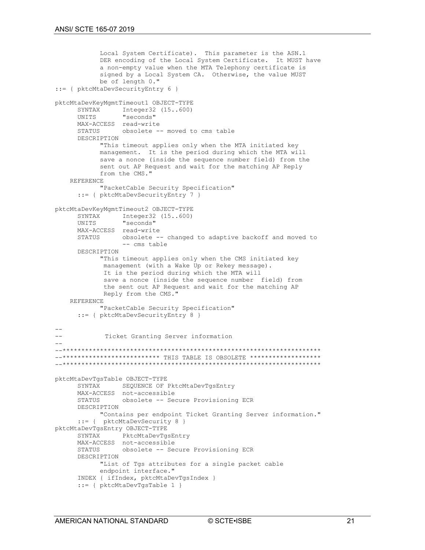```
 Local System Certificate). This parameter is the ASN.1 
              DER encoding of the Local System Certificate. It MUST have
              a non-empty value when the MTA Telephony certificate is 
              signed by a Local System CA. Otherwise, the value MUST 
              be of length 0."
::= { pktcMtaDevSecurityEntry 6 }
pktcMtaDevKeyMgmtTimeout1 OBJECT-TYPE
      SYNTAX Integer32 (15..600)<br>IINTTS "seconds"
                   "seconds"
      MAX-ACCESS read-write<br>STATUS obsolete -
                   obsolete -- moved to cms table
       DESCRIPTION
              "This timeout applies only when the MTA initiated key 
              management. It is the period during which the MTA will 
              save a nonce (inside the sequence number field) from the 
              sent out AP Request and wait for the matching AP Reply 
              from the CMS."
     REFERENCE
              "PacketCable Security Specification"
       ::= { pktcMtaDevSecurityEntry 7 }
pktcMtaDevKeyMgmtTimeout2 OBJECT-TYPE
      SYNTAX Integer32 (15..600)<br>UNITS "seconds"
                   "seconds"
      MAX-ACCESS read-write<br>STATUS obsolete -
                   obsolete -- changed to adaptive backoff and moved to
                    -- cms table
       DESCRIPTION
              "This timeout applies only when the CMS initiated key 
               management (with a Wake Up or Rekey message).
               It is the period during which the MTA will 
               save a nonce (inside the sequence number field) from 
               the sent out AP Request and wait for the matching AP 
               Reply from the CMS."
     REFERENCE
              "PacketCable Security Specification"
       ::= { pktcMtaDevSecurityEntry 8 }
\overline{\phantom{a}}Ticket Granting Server information
--
--*********************************************************************
--************************** THIS TABLE IS OBSOLETE *******************
--*********************************************************************
pktcMtaDevTgsTable OBJECT-TYPE
       SYNTAX SEQUENCE OF PktcMtaDevTgsEntry
      MAX-ACCESS not-accessible<br>STATUS obsolete -- See
                obsolete -- Secure Provisioning ECR
       DESCRIPTION
              "Contains per endpoint Ticket Granting Server information."
       ::= { pktcMtaDevSecurity 8 }
pktcMtaDevTgsEntry OBJECT-TYPE
       SYNTAX PktcMtaDevTgsEntry
      MAX-ACCESS not-accessible<br>STATUS obsolete -- Se
                 obsolete -- Secure Provisioning ECR
       DESCRIPTION
              "List of Tgs attributes for a single packet cable 
              endpoint interface."
       INDEX { ifIndex, pktcMtaDevTgsIndex }
       ::= { pktcMtaDevTgsTable 1 }
```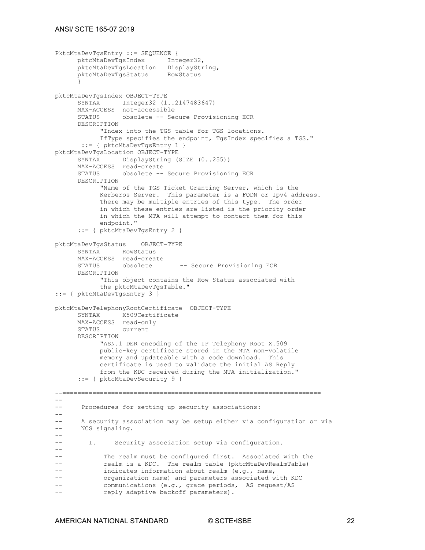```
PktcMtaDevTgsEntry ::= SEQUENCE {<br>pktcMtaDevTgsIndex Integer32,
      pktcMtaDevTgsIndex
       pktcMtaDevTgsLocation DisplayString,
       pktcMtaDevTgsStatus RowStatus
 }
pktcMtaDevTgsIndex OBJECT-TYPE
                Integer32 (1..2147483647)
      MAX-ACCESS not-accessible<br>STATUS obsolete -- Se
                   obsolete -- Secure Provisioning ECR
       DESCRIPTION
              "Index into the TGS table for TGS locations.
              IfType specifies the endpoint, TgsIndex specifies a TGS."
         ::= { pktcMtaDevTgsEntry 1 }
pktcMtaDevTgsLocation OBJECT-TYPE
                   DisplayString (SIZE (0..255))
       MAX-ACCESS read-create
       STATUS obsolete -- Secure Provisioning ECR
       DESCRIPTION
              "Name of the TGS Ticket Granting Server, which is the 
              Kerberos Server. This parameter is a FQDN or Ipv4 address.
             There may be multiple entries of this type. The order
              in which these entries are listed is the priority order 
              in which the MTA will attempt to contact them for this
              endpoint."
        ::= { pktcMtaDevTgsEntry 2 }
pktcMtaDevTgsStatus OBJECT-TYPE
               RowStatus
      MAX-ACCESS read-create<br>STATUS obsolete
                   obsolete -- Secure Provisioning ECR
       DESCRIPTION
              "This object contains the Row Status associated with 
              the pktcMtaDevTgsTable."
::= { pktcMtaDevTgsEntry 3 }
pktcMtaDevTelephonyRootCertificate OBJECT-TYPE 
                   X509Certificate
      MAX-ACCESS read-only<br>STATUS current
                   current
       DESCRIPTION
              "ASN.1 DER encoding of the IP Telephony Root X.509
              public-key certificate stored in the MTA non-volatile
              memory and updateable with a code download. This
              certificate is used to validate the initial AS Reply
              from the KDC received during the MTA initialization."
       ::= { pktcMtaDevSecurity 9 }
--=====================================================================
--
       Procedures for setting up security associations:
--
-- A security association may be setup either via configuration or via<br>-- MCS signaling
       NCS signaling.
--
        I. Security association setup via configuration.
--
-- The realm must be configured first. Associated with the<br>-- The realm is a KDC. The realm table (pktcMtaDevRealmTable)
-- realm is a KDC. The realm table (pktcMtaDevRealmTable)<br>-- indicates information about realm (e.g., name.
-- indicates information about realm (e.g., name,<br>-- Organization name) and parameters associated w
-- organization name) and parameters associated with KDC<br>-- communications (e.g. grace periods as request/as
              communications (e.g., grace periods, AS request/AS
              reply adaptive backoff parameters).
```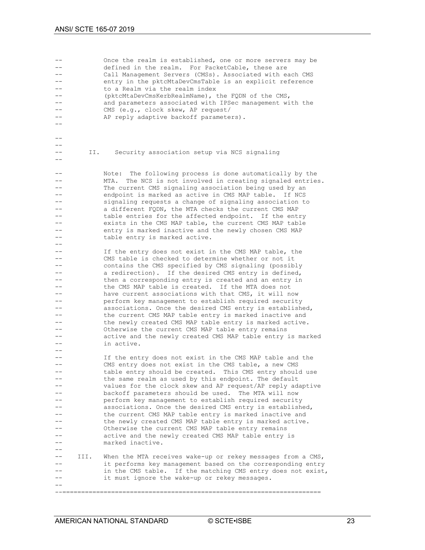-- Once the realm is established, one or more servers may be<br>-- defined in the realm For PacketCable these are defined in the realm. For PacketCable, these are -- Call Management Servers (CMSs). Associated with each CMS -- entry in the pktcMtaDevCmsTable is an explicit reference<br>-- The a Realm via the realm index to a Realm via the realm index -- (pktcMtaDevCmsKerbRealmName), the FQDN of the CMS,<br>-- and parameters associated with IBSec management wi -- and parameters associated with IPSec management with the -- CMS (e.g., clock skew, AP request/<br>-- ap reply adaptive backoff parameter AP reply adaptive backoff parameters). -- -- -- II. Security association setup via NCS signaling -- -- Note: The following process is done automatically by the -- MTA. The NCS is not involved in creating signaled entries. -- The current CMS signaling association being used by an -- endpoint is marked as active in CMS MAP table. If NCS<br>cignaling requests a change of signaling association to -- signaling requests a change of signaling association to<br>-- a different FODN the MTA checks the current CMS MAP -- a different FQDN, the MTA checks the current CMS MAP<br>-- table entries for the affected endpoint If the ent -- table entries for the affected endpoint. If the entry<br>-- exists in the CMS MAP table the current CMS MAP table -- exists in the CMS MAP table, the current CMS MAP table<br>-- entry is marked inactive and the newly chosen CMS MAP -- entry is marked inactive and the newly chosen CMS MAP table entry is marked active. -- -- If the entry does not exist in the CMS MAP table, the<br>-- CMS table is checked to determine whether or not it -- CMS table is checked to determine whether or not it<br>-- contains the CMS specified by CMS signaling (possib -- contains the CMS specified by CMS signaling (possibly<br>-- a redirection) If the desired CMS entry is defined -- a redirection). If the desired CMS entry is defined,<br>-- then a corresponding entry is created and an entry in -- then a corresponding entry is created and an entry in<br>-- the CMS MAP table is created If the MTA does not -- the CMS MAP table is created. If the MTA does not<br>-- have current associations with that CMS, it will no -- have current associations with that CMS, it will now<br>-- perform key management to establish required security -- perform key management to establish required security<br>-- associations. Once the desired CMS entry is establish -- associations. Once the desired CMS entry is established,<br>-- The current CMS MAP table entry is marked inactive and -- the current CMS MAP table entry is marked inactive and<br>-- the newly created CMS MAP table entry is marked active -- the newly created CMS MAP table entry is marked active.<br>-- Otherwise the current CMS MAP table entry remains -- Otherwise the current CMS MAP table entry remains<br>-- active and the newly created CMS MAP table entry -- active and the newly created CMS MAP table entry is marked<br>-- in active in active. -- -- If the entry does not exist in the CMS MAP table and the<br>-- CMS entry does not exist in the CMS table, a new CMS -- CMS entry does not exist in the CMS table, a new CMS<br>-- table entry should be created. This CMS entry shoule -- table entry should be created. This CMS entry should use<br>-- the same realm as used by this endpoint. The default the same realm as used by this endpoint. The default -- values for the clock skew and AP request/AP reply adaptive<br>-- backoff parameters should be used. The MTA will now -- backoff parameters should be used. The MTA will now<br>-- perform key management to establish required security -- perform key management to establish required security<br>-- associations Once the desired CMS entry is establish -- associations. Once the desired CMS entry is established,<br>-- the current CMS MAP table entry is marked inactive and -- the current CMS MAP table entry is marked inactive and<br>-- the newly created CMS MAP table entry is marked active -- the newly created CMS MAP table entry is marked active.<br>-- Otherwise the current CMS MAP table entry remains -- Otherwise the current CMS MAP table entry remains<br>-- active and the newly created CMS MAP table entry -- active and the newly created CMS MAP table entry is<br>-- marked inactive marked inactive. -- -- III. When the MTA receives wake-up or rekey messages from a CMS,<br>-- it performs key management based on the corresponding entry -- it performs key management based on the corresponding entry<br>-- in the CMS table. If the matching CMS entry does not exist -- in the CMS table. If the matching CMS entry does not exist,<br>-- it must ignore the wake-up or rekey messages it must ignore the wake-up or rekey messages. -- --=====================================================================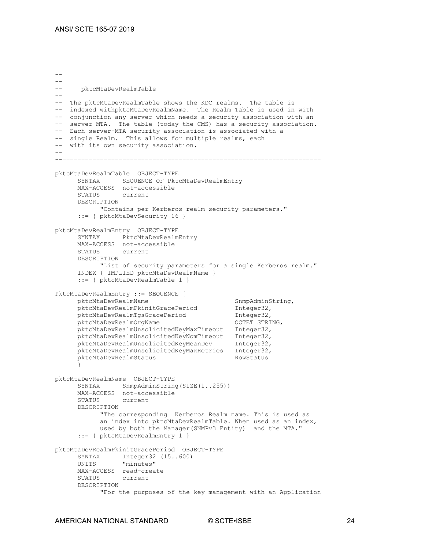```
--=====================================================================
--
-- pktcMtaDevRealmTable
- --- The pktcMtaDevRealmTable shows the KDC realms. The table is<br>-- indexed withpktcMtaDevRealmName. The Bealm Table is used in
   indexed withpktcMtaDevRealmName. The Realm Table is used in with
-- conjunction any server which needs a security association with an 
-- server MTA. The table (today the CMS) has a security association.
-- Each server-MTA security association is associated with a
-- single Realm. This allows for multiple realms, each
-- with its own security association.
--
--=====================================================================
pktcMtaDevRealmTable OBJECT-TYPE
       SYNTAX SEQUENCE OF PktcMtaDevRealmEntry
       MAX-ACCESS not-accessible
                current
       DESCRIPTION
             "Contains per Kerberos realm security parameters."
       ::= { pktcMtaDevSecurity 16 }
pktcMtaDevRealmEntry OBJECT-TYPE
       SYNTAX PktcMtaDevRealmEntry
       MAX-ACCESS not-accessible
              current.
       DESCRIPTION
             "List of security parameters for a single Kerberos realm."
       INDEX { IMPLIED pktcMtaDevRealmName }
       ::= { pktcMtaDevRealmTable 1 }
PktcMtaDevRealmEntry ::= SEQUENCE {
      pktcMtaDevRealmName SnmpAdminString,<br>
pktcMtaDevRealmPkinitGracePeriod Integer32,
      pktcMtaDevRealmPkinitGracePeriod Integer32,<br>pktcMtaDevRealmTgsGracePeriod Integer32,
       pktcMtaDevRealmTgsGracePeriod Integer32,
       pktcMtaDevRealmOrgName OCTET STRING,
 pktcMtaDevRealmUnsolicitedKeyMaxTimeout Integer32,
 pktcMtaDevRealmUnsolicitedKeyNomTimeout Integer32,
 pktcMtaDevRealmUnsolicitedKeyMeanDev Integer32,
       pktcMtaDevRealmUnsolicitedKeyMaxRetries Integer32,
      pktcMtaDevRealmStatus
 }
pktcMtaDevRealmName OBJECT-TYPE
      SYNTAX SnmpAdminString(SIZE(1..255))
       MAX-ACCESS not-accessible
                current
       DESCRIPTION
             "The corresponding Kerberos Realm name. This is used as 
             an index into pktcMtaDevRealmTable. When used as an index,
            used by both the Manager(SNMPv3 Entity) and the MTA."
       ::= { pktcMtaDevRealmEntry 1 }
pktcMtaDevRealmPkinitGracePeriod OBJECT-TYPE
      SYNTAX Integer32 (15..600)<br>UNITS "minutes"
                  "minutes"
      MAX-ACCESS read-create<br>STATUS current
                  current
       DESCRIPTION
             "For the purposes of the key management with an Application
```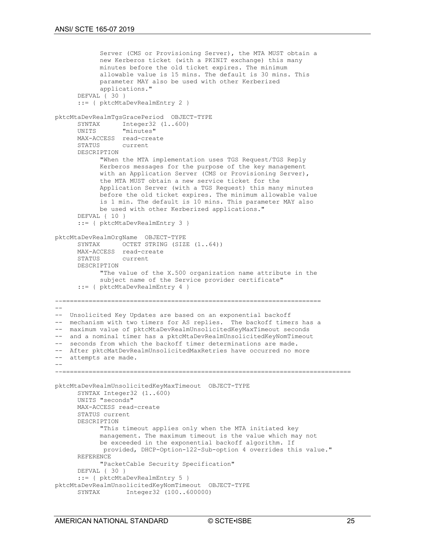```
 Server (CMS or Provisioning Server), the MTA MUST obtain a
             new Kerberos ticket (with a PKINIT exchange) this many 
             minutes before the old ticket expires. The minimum 
             allowable value is 15 mins. The default is 30 mins. This 
             parameter MAY also be used with other Kerberized 
             applications." 
       DEFVAL { 30 }
       ::= { pktcMtaDevRealmEntry 2 }
pktcMtaDevRealmTgsGracePeriod OBJECT-TYPE
      SYNTAX Integer32 (1..600)<br>UNITS "minutes"
 UNITS "minutes"
 MAX-ACCESS read-create
       STATUS current
       DESCRIPTION
             "When the MTA implementation uses TGS Request/TGS Reply 
             Kerberos messages for the purpose of the key management 
             with an Application Server (CMS or Provisioning Server), 
             the MTA MUST obtain a new service ticket for the 
             Application Server (with a TGS Request) this many minutes 
             before the old ticket expires. The minimum allowable value 
             is 1 min. The default is 10 mins. This parameter MAY also 
             be used with other Kerberized applications."
       DEFVAL { 10 }
       ::= { pktcMtaDevRealmEntry 3 }
pktcMtaDevRealmOrgName OBJECT-TYPE
                OCTET STRING (SIZE (1..64))
      MAX-ACCESS read-create<br>STATUS current
                 current
       DESCRIPTION
             "The value of the X.500 organization name attribute in the 
             subject name of the Service provider certificate"
       ::= { pktcMtaDevRealmEntry 4 }
--=====================================================================
--- Unsolicited Key Updates are based on an exponential backoff 
-- mechanism with two timers for AS replies. The backoff timers has a
-- maximum value of pktcMtaDevRealmUnsolicitedKeyMaxTimeout seconds 
-- and a nominal timer has a pktcMtaDevRealmUnsolicitedKeyNomTimeout 
-- seconds from which the backoff timer determinations are made. 
-- After pktcMatDevRealmUnsolicitedMaxRetries have occurred no more 
-- attempts are made. 
--
--=============================================================================
pktcMtaDevRealmUnsolicitedKeyMaxTimeout OBJECT-TYPE
       SYNTAX Integer32 (1..600)
       UNITS "seconds"
       MAX-ACCESS read-create
       STATUS current
       DESCRIPTION
             "This timeout applies only when the MTA initiated key 
             management. The maximum timeout is the value which may not 
             be exceeded in the exponential backoff algorithm. If
             provided, DHCP-Option-122-Sub-option 4 overrides this value."
       REFERENCE
             "PacketCable Security Specification"
       DEFVAL { 30 }
       ::= { pktcMtaDevRealmEntry 5 }
pktcMtaDevRealmUnsolicitedKeyNomTimeout OBJECT-TYPE
                   Integer32 (100..600000)
```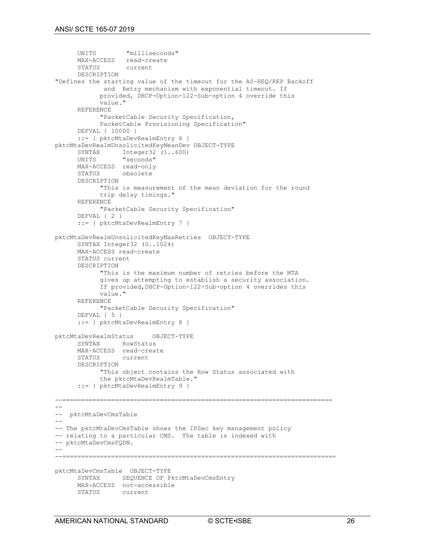```
 UNITS "milliseconds"
      MAX-ACCESS read-create<br>STATUS current
                   current
       DESCRIPTION
"Defines the starting value of the timeout for the AS-REQ/REP Backoff
              and Retry mechanism with exponential timeout. If 
             provided, DHCP-Option-122-Sub-option 4 override this 
             value."
       REFERENCE
             "PacketCable Security Specification, 
             PacketCable Provisioning Specification"
       DEFVAL { 10000 }
       ::= { pktcMtaDevRealmEntry 6 }
pktcMtaDevRealmUnsolicitedKeyMeanDev OBJECT-TYPE
      SYNTAX Integer32 (1..600)<br>
INITS "seconds"
                  "seconds"
       MAX-ACCESS read-only
       STATUS obsolete
       DESCRIPTION 
             "This is measurement of the mean deviation for the round 
             trip delay timings."
       REFERENCE
             "PacketCable Security Specification"
       DEFVAL { 2 }
       ::= { pktcMtaDevRealmEntry 7 }
pktcMtaDevRealmUnsolicitedKeyMaxRetries OBJECT-TYPE
       SYNTAX Integer32 (0..1024)
       MAX-ACCESS read-create
       STATUS current
       DESCRIPTION
             "This is the maximum number of retries before the MTA 
             gives up attempting to establish a security association. 
             If provided,DHCP-Option-122-Sub-option 4 overrides this 
             value."
       REFERENCE
             "PacketCable Security Specification"
       DEFVAL { 5 }
       ::= { pktcMtaDevRealmEntry 8 }
pktcMtaDevRealmStatus OBJECT-TYPE
       SYNTAX RowStatus
      MAX-ACCESS read-create<br>STATUS current
                  current
       DESCRIPTION
             "This object contains the Row Status associated with 
             the pktcMtaDevRealmTable."
       ::= { pktcMtaDevRealmEntry 9 }
--========================================================================
---- pktcMtaDevCmsTable
--
-- The pktcMtaDevCmsTable shows the IPSec key management policy
-- relating to a particular CMS. The table is indexed with
-- pktcMtaDevCmsFQDN.
---=========================================================================
pktcMtaDevCmsTable OBJECT-TYPE
       SYNTAX SEQUENCE OF PktcMtaDevCmsEntry
       MAX-ACCESS not-accessible
                 current
```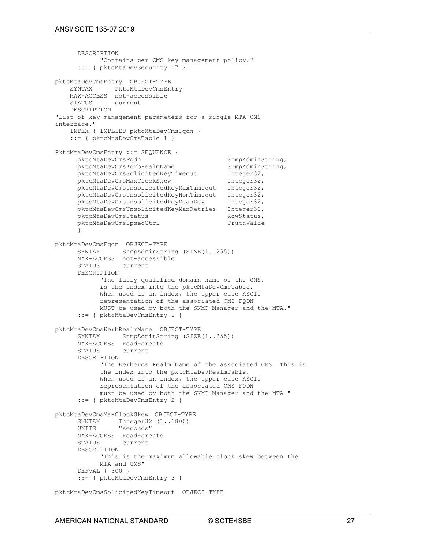```
 DESCRIPTION
              "Contains per CMS key management policy."
       ::= { pktcMtaDevSecurity 17 }
pktcMtaDevCmsEntry OBJECT-TYPE
             PktcMtaDevCmsEntry
     MAX-ACCESS not-accessible
                 current
     DESCRIPTION
"List of key management parameters for a single MTA-CMS 
interface."
     INDEX { IMPLIED pktcMtaDevCmsFqdn }
     ::= { pktcMtaDevCmsTable 1 }
PktcMtaDevCmsEntry ::= SEQUENCE { 
      pktcMtaDevCmsFqdn SnmpAdminString,<br>pktcMtaDevCmsKerbRealmName SnmpAdminString,
      pktcMtaDevCmsKerbRealmName SnmpAdminS<br>pktcMtaDevCmsSolicitedKeyTimeout Integer32,
      pktcMtaDevCmsSolicitedKeyTimeout Integer32,<br>pktcMtaDevCmsMaxClockSkew Integer32,
      pktcMtaDevCmsMaxClockSkew
       pktcMtaDevCmsUnsolicitedKeyMaxTimeout Integer32,
       pktcMtaDevCmsUnsolicitedKeyNomTimeout Integer32,
       pktcMtaDevCmsUnsolicitedKeyMeanDev Integer32,
       pktcMtaDevCmsUnsolicitedKeyMaxRetries Integer32,
      pktcMtaDevCmsStatus RowStatus,<br>
pktcMtaDevCmsIpsecCtrl<br>
TruthValue
      pktcMtaDevCmsIpsecCtrl
 }
pktcMtaDevCmsFqdn OBJECT-TYPE
      SYNTAX SnmpAdminString (SIZE(1..255))
       MAX-ACCESS not-accessible
       STATUS current
       DESCRIPTION
              "The fully qualified domain name of the CMS. 
              is the index into the pktcMtaDevCmsTable.
             When used as an index, the upper case ASCII
              representation of the associated CMS FQDN
              MUST be used by both the SNMP Manager and the MTA."
       ::= { pktcMtaDevCmsEntry 1 }
pktcMtaDevCmsKerbRealmName OBJECT-TYPE
      SYNTAX SnmpAdminString (SIZE(1..255))
      MAX-ACCESS read-create<br>STATUS current
      STATUS
       DESCRIPTION
              "The Kerberos Realm Name of the associated CMS. This is
              the index into the pktcMtaDevRealmTable. 
             When used as an index, the upper case ASCII
              representation of the associated CMS FQDN
              must be used by both the SNMP Manager and the MTA "
       ::= { pktcMtaDevCmsEntry 2 }
pktcMtaDevCmsMaxClockSkew OBJECT-TYPE
      SYNTAX Integer32 (1..1800)<br>
INITS "seconds"
                  "seconds"
      MAX-ACCESS read-create<br>STATUS current
                Current
       DESCRIPTION
              "This is the maximum allowable clock skew between the 
              MTA and CMS"
       DEFVAL { 300 }
       ::= { pktcMtaDevCmsEntry 3 }
pktcMtaDevCmsSolicitedKeyTimeout OBJECT-TYPE
```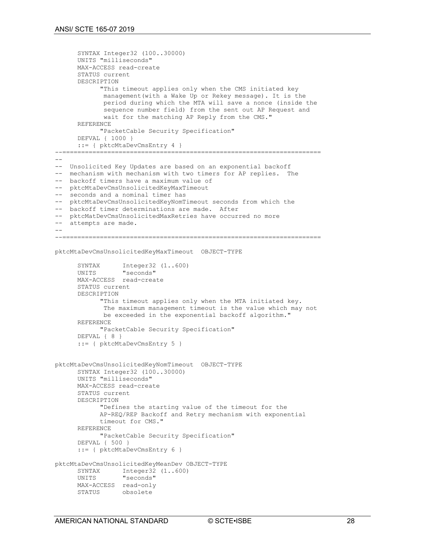```
 SYNTAX Integer32 (100..30000)
       UNITS "milliseconds"
       MAX-ACCESS read-create
       STATUS current
       DESCRIPTION
              "This timeout applies only when the CMS initiated key 
              management(with a Wake Up or Rekey message). It is the 
              period during which the MTA will save a nonce (inside the 
              sequence number field) from the sent out AP Request and 
              wait for the matching AP Reply from the CMS."
       REFERENCE
             "PacketCable Security Specification"
       DEFVAL { 1000 }
       ::= { pktcMtaDevCmsEntry 4 }
--=====================================================================
--- Unsolicited Key Updates are based on an exponential backoff 
-- mechanism with mechanism with two timers for AP replies. The 
-- backoff timers have a maximum value of 
-- pktcMtaDevCmsUnsolicitedKeyMaxTimeout 
-- seconds and a nominal timer has 
-- pktcMtaDevCmsUnsolicitedKeyNomTimeout seconds from which the
-- backoff timer determinations are made. After
-- pktcMatDevCmsUnsolicitedMaxRetries have occurred no more<br>-- attemnts are made
   attempts are made.
---=====================================================================
pktcMtaDevCmsUnsolicitedKeyMaxTimeout OBJECT-TYPE
      SYNTAX Integer32 (1..600)<br>UNITS "seconds"
                  "seconds"
       MAX-ACCESS read-create
       STATUS current
       DESCRIPTION
             "This timeout applies only when the MTA initiated key. 
              The maximum management timeout is the value which may not
              be exceeded in the exponential backoff algorithm."
       REFERENCE
             "PacketCable Security Specification"
       DEFVAL { 8 }
       ::= { pktcMtaDevCmsEntry 5 }
pktcMtaDevCmsUnsolicitedKeyNomTimeout OBJECT-TYPE
       SYNTAX Integer32 (100..30000)
       UNITS "milliseconds"
       MAX-ACCESS read-create
       STATUS current
       DESCRIPTION
              "Defines the starting value of the timeout for the 
             AP-REQ/REP Backoff and Retry mechanism with exponential 
             timeout for CMS."
       REFERENCE
             "PacketCable Security Specification" 
       DEFVAL { 500 }
       ::= { pktcMtaDevCmsEntry 6 }
pktcMtaDevCmsUnsolicitedKeyMeanDev OBJECT-TYPE
      SYNTAX Integer32 (1..600)<br>UNITS "seconds"
                  "seconds"
      MAX-ACCESS read-only<br>STATUS obsolete
                 obsolete
```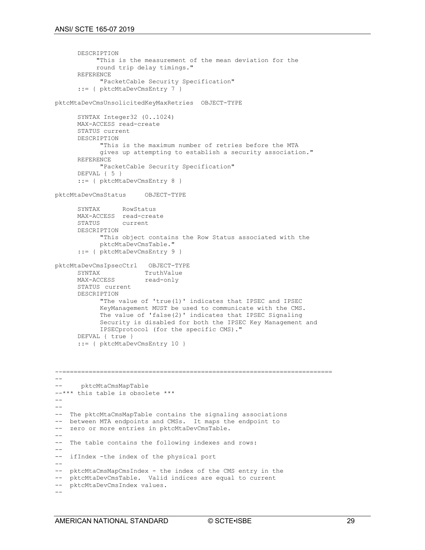```
 DESCRIPTION 
            "This is the measurement of the mean deviation for the 
            round trip delay timings."
       REFERENCE
             "PacketCable Security Specification"
       ::= { pktcMtaDevCmsEntry 7 }
pktcMtaDevCmsUnsolicitedKeyMaxRetries OBJECT-TYPE
       SYNTAX Integer32 (0..1024)
       MAX-ACCESS read-create
       STATUS current
       DESCRIPTION
             "This is the maximum number of retries before the MTA 
             gives up attempting to establish a security association."
       REFERENCE
             "PacketCable Security Specification"
       DEFVAL { 5 }
       ::= { pktcMtaDevCmsEntry 8 }
pktcMtaDevCmsStatus OBJECT-TYPE
       SYNTAX RowStatus 
       MAX-ACCESS read-create 
                  current
       DESCRIPTION 
             "This object contains the Row Status associated with the 
             pktcMtaDevCmsTable."
       ::= { pktcMtaDevCmsEntry 9 }
pktcMtaDevCmsIpsecCtrl OBJECT-TYPE 
                       TruthValue<br>read-only
      MAX-ACCESS
       STATUS current
       DESCRIPTION 
             "The value of 'true(1)' indicates that IPSEC and IPSEC 
             KeyManagement MUST be used to communicate with the CMS. 
             The value of 'false(2)' indicates that IPSEC Signaling 
             Security is disabled for both the IPSEC Key Management and 
             IPSECprotocol (for the specific CMS)."
       DEFVAL { true }
       ::= { pktcMtaDevCmsEntry 10 }
--========================================================================
---- pktcMtaCmsMapTable
--*** this table is obsolete ***
---- The pktcMtaCmsMapTable contains the signaling associations 
-- between MTA endpoints and CMSs. It maps the endpoint to 
-- zero or more entries in pktcMtaDevCmsTable.
--- The table contains the following indexes and rows:
--- ifIndex -the index of the physical port
---- pktcMtaCmsMapCmsIndex - the index of the CMS entry in the 
-- pktcMtaDevCmsTable. Valid indices are equal to current 
-- pktcMtaDevCmsIndex values.
--
```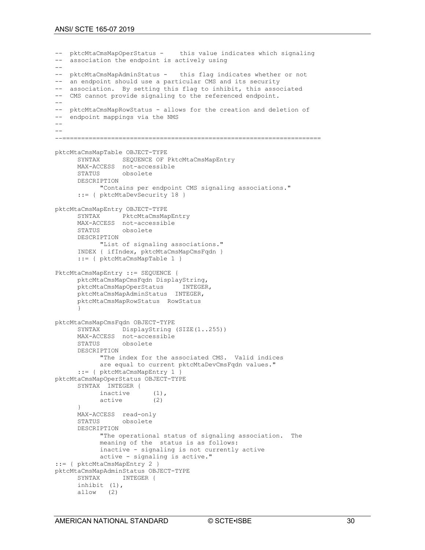```
-- pktcMtaCmsMapOperStatus - this value indicates which signaling 
-- association the endpoint is actively using
--- pktcMtaCmsMapAdminStatus - this flag indicates whether or not
-- an endpoint should use a particular CMS and its security
-- association. By setting this flag to inhibit, this associated 
-- CMS cannot provide signaling to the referenced endpoint.
--- pktcMtaCmsMapRowStatus - allows for the creation and deletion of<br>-- endpoint mappings via the NMS
    endpoint mappings via the NMS
---
--=====================================================================
pktcMtaCmsMapTable OBJECT-TYPE
       SYNTAX SEQUENCE OF PktcMtaCmsMapEntry
       MAX-ACCESS not-accessible
       STATUS obsolete
       DESCRIPTION
             "Contains per endpoint CMS signaling associations."
       ::= { pktcMtaDevSecurity 18 }
pktcMtaCmsMapEntry OBJECT-TYPE
 SYNTAX PktcMtaCmsMapEntry
 MAX-ACCESS not-accessible
       STATUS obsolete
       DESCRIPTION
             "List of signaling associations."
       INDEX { ifIndex, pktcMtaCmsMapCmsFqdn }
       ::= { pktcMtaCmsMapTable 1 }
PktcMtaCmsMapEntry ::= SEQUENCE {
       pktcMtaCmsMapCmsFqdn DisplayString,
       pktcMtaCmsMapOperStatus INTEGER,
       pktcMtaCmsMapAdminStatus INTEGER,
       pktcMtaCmsMapRowStatus RowStatus
 }
pktcMtaCmsMapCmsFqdn OBJECT-TYPE
      SYNTAX DisplayString (SIZE(1..255))
       MAX-ACCESS not-accessible
                 obsolete
       DESCRIPTION
             "The index for the associated CMS. Valid indices
            are equal to current pktcMtaDevCmsFqdn values."
       ::= { pktcMtaCmsMapEntry 1 }
pktcMtaCmsMapOperStatus OBJECT-TYPE
       SYNTAX INTEGER {
            inactive (1),<br>active (2)active
 }
      MAX-ACCESS read-only<br>STATUS obsolete
                 obsolete
       DESCRIPTION
             "The operational status of signaling association. The 
             meaning of the status is as follows:
             inactive - signaling is not currently active
             active - signaling is active."
::= { pktcMtaCmsMapEntry 2 }
pktcMtaCmsMapAdminStatus OBJECT-TYPE
       SYNTAX INTEGER {
       inhibit (1),
       allow (2)
```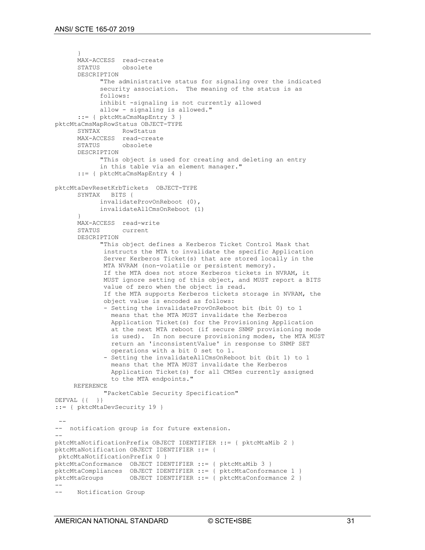```
 }
      MAX-ACCESS read-create<br>STATUS obsolete
                   obsolete
       DESCRIPTION
             "The administrative status for signaling over the indicated
              security association. The meaning of the status is as 
              follows:
              inhibit -signaling is not currently allowed
              allow - signaling is allowed."
       ::= { pktcMtaCmsMapEntry 3 }
pktcMtaCmsMapRowStatus OBJECT-TYPE
                 RowStatus
       MAX-ACCESS read-create
                  obsolete
       DESCRIPTION
              "This object is used for creating and deleting an entry 
              in this table via an element manager."
       ::= { pktcMtaCmsMapEntry 4 }
pktcMtaDevResetKrbTickets OBJECT-TYPE
      SYNTAX
              invalidateProvOnReboot (0),
              invalidateAllCmsOnReboot (1)
 }
       MAX-ACCESS read-write
       STATUS current
       DESCRIPTION
              "This object defines a Kerberos Ticket Control Mask that
              instructs the MTA to invalidate the specific Application
              Server Kerberos Ticket(s) that are stored locally in the
              MTA NVRAM (non-volatile or persistent memory).
              If the MTA does not store Kerberos tickets in NVRAM, it 
              MUST ignore setting of this object, and MUST report a BITS
              value of zero when the object is read. 
               If the MTA supports Kerberos tickets storage in NVRAM, the
               object value is encoded as follows: 
               - Setting the invalidateProvOnReboot bit (bit 0) to 1 
                means that the MTA MUST invalidate the Kerberos 
                 Application Ticket(s) for the Provisioning Application 
                 at the next MTA reboot (if secure SNMP provisioning mode
                 is used). In non secure provisioning modes, the MTA MUST
                 return an 'inconsistentValue' in response to SNMP SET
                 operations with a bit 0 set to 1. 
               - Setting the invalidateAllCmsOnReboot bit (bit 1) to 1 
                means that the MTA MUST invalidate the Kerberos 
                 Application Ticket(s) for all CMSes currently assigned 
                 to the MTA endpoints."
      REFERENCE
               "PacketCable Security Specification"
DEFVAL {{ }}
::= { pktcMtaDevSecurity 19 }
 --
-- notification group is for future extension.
--
pktcMtaNotificationPrefix OBJECT IDENTIFIER ::= { pktcMtaMib 2 }
pktcMtaNotification OBJECT IDENTIFIER ::= {
 pktcMtaNotificationPrefix 0 }
pktcMtaConformance OBJECT IDENTIFIER ::= { pktcMtaMib 3 }
pktcMtaCompliances OBJECT IDENTIFIER ::= { pktcMtaConformance 1 } pktcMtaGroups 0BJECT IDENTIFIER ::= { pktcMtaConformance 2 }
                    OBJECT IDENTIFIER ::= { pktcMtaConformance 2 }
--
      Notification Group
```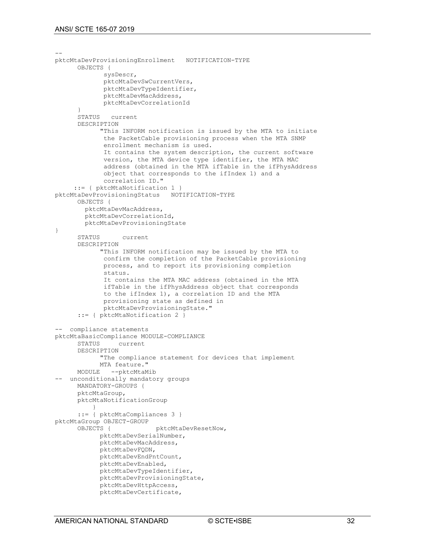```
--
pktcMtaDevProvisioningEnrollment NOTIFICATION-TYPE
       OBJECTS {
              sysDescr, 
              pktcMtaDevSwCurrentVers,
              pktcMtaDevTypeIdentifier,
              pktcMtaDevMacAddress,
              pktcMtaDevCorrelationId
 }
       STATUS current
       DESCRIPTION
             "This INFORM notification is issued by the MTA to initiate
              the PacketCable provisioning process when the MTA SNMP
              enrollment mechanism is used.
              It contains the system description, the current software 
              version, the MTA device type identifier, the MTA MAC 
              address (obtained in the MTA ifTable in the ifPhysAddress 
              object that corresponds to the ifIndex 1) and a 
              correlation ID."
      ::= { pktcMtaNotification 1 }
pktcMtaDevProvisioningStatus NOTIFICATION-TYPE
       OBJECTS {
         pktcMtaDevMacAddress,
         pktcMtaDevCorrelationId,
         pktcMtaDevProvisioningState
}
       STATUS current
       DESCRIPTION
             "This INFORM notification may be issued by the MTA to 
              confirm the completion of the PacketCable provisioning 
              process, and to report its provisioning completion 
              status.
              It contains the MTA MAC address (obtained in the MTA 
              ifTable in the ifPhysAddress object that corresponds 
              to the ifIndex 1), a correlation ID and the MTA 
              provisioning state as defined in 
              pktcMtaDevProvisioningState."
       ::= { pktcMtaNotification 2 }
   compliance statements
pktcMtaBasicCompliance MODULE-COMPLIANCE
                current
       DESCRIPTION
             "The compliance statement for devices that implement 
             MTA feature."
       MODULE --pktcMtaMib
-- unconditionally mandatory groups
       MANDATORY-GROUPS {
       pktcMtaGroup,
       pktcMtaNotificationGroup
 }
       ::= { pktcMtaCompliances 3 }
pktcMtaGroup OBJECT-GROUP
                            pktcMtaDevResetNow,
             pktcMtaDevSerialNumber,
             pktcMtaDevMacAddress,
             pktcMtaDevFQDN,
             pktcMtaDevEndPntCount,
             pktcMtaDevEnabled,
             pktcMtaDevTypeIdentifier,
             pktcMtaDevProvisioningState,
             pktcMtaDevHttpAccess,
             pktcMtaDevCertificate,
```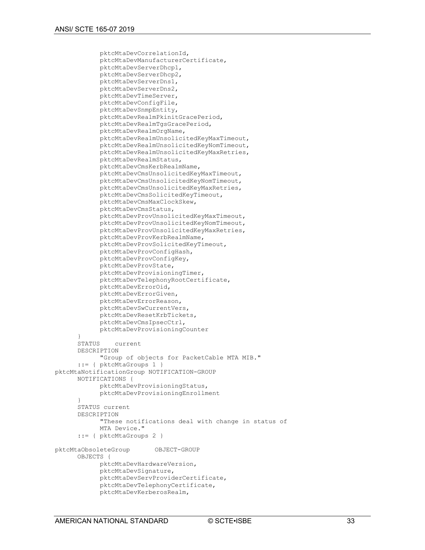```
 pktcMtaDevCorrelationId,
             pktcMtaDevManufacturerCertificate,
             pktcMtaDevServerDhcp1,
             pktcMtaDevServerDhcp2,
             pktcMtaDevServerDns1,
             pktcMtaDevServerDns2,
             pktcMtaDevTimeServer,
             pktcMtaDevConfigFile,
             pktcMtaDevSnmpEntity,
             pktcMtaDevRealmPkinitGracePeriod,
             pktcMtaDevRealmTgsGracePeriod,
             pktcMtaDevRealmOrgName,
             pktcMtaDevRealmUnsolicitedKeyMaxTimeout,
             pktcMtaDevRealmUnsolicitedKeyNomTimeout,
             pktcMtaDevRealmUnsolicitedKeyMaxRetries,
             pktcMtaDevRealmStatus,
             pktcMtaDevCmsKerbRealmName,
             pktcMtaDevCmsUnsolicitedKeyMaxTimeout,
             pktcMtaDevCmsUnsolicitedKeyNomTimeout,
             pktcMtaDevCmsUnsolicitedKeyMaxRetries,
             pktcMtaDevCmsSolicitedKeyTimeout,
             pktcMtaDevCmsMaxClockSkew,
             pktcMtaDevCmsStatus,
             pktcMtaDevProvUnsolicitedKeyMaxTimeout,
             pktcMtaDevProvUnsolicitedKeyNomTimeout,
             pktcMtaDevProvUnsolicitedKeyMaxRetries,
             pktcMtaDevProvKerbRealmName,
             pktcMtaDevProvSolicitedKeyTimeout,
             pktcMtaDevProvConfigHash,
             pktcMtaDevProvConfigKey,
             pktcMtaDevProvState,
             pktcMtaDevProvisioningTimer,
             pktcMtaDevTelephonyRootCertificate,
             pktcMtaDevErrorOid,
             pktcMtaDevErrorGiven,
             pktcMtaDevErrorReason,
             pktcMtaDevSwCurrentVers,
             pktcMtaDevResetKrbTickets,
             pktcMtaDevCmsIpsecCtrl,
             pktcMtaDevProvisioningCounter
 }
       STATUS current
       DESCRIPTION
             "Group of objects for PacketCable MTA MIB."
       ::= { pktcMtaGroups 1 } 
pktcMtaNotificationGroup NOTIFICATION-GROUP
       NOTIFICATIONS {
             pktcMtaDevProvisioningStatus,
             pktcMtaDevProvisioningEnrollment 
 }
       STATUS current
       DESCRIPTION
             "These notifications deal with change in status of 
             MTA Device."
       ::= { pktcMtaGroups 2 }
pktcMtaObsoleteGroup OBJECT-GROUP
       OBJECTS {
             pktcMtaDevHardwareVersion,
             pktcMtaDevSignature,
             pktcMtaDevServProviderCertificate,
             pktcMtaDevTelephonyCertificate,
             pktcMtaDevKerberosRealm,
```